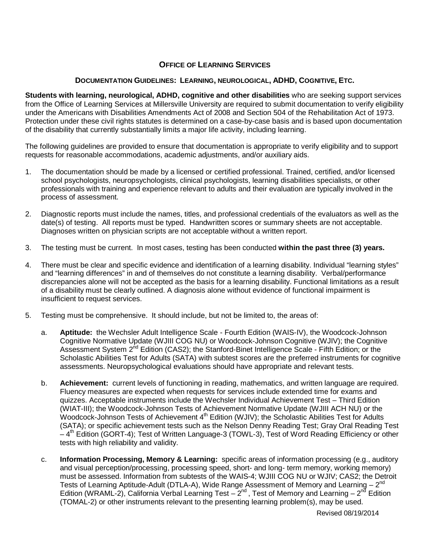## **OFFICE OF LEARNING SERVICES**

## **DOCUMENTATION GUIDELINES: LEARNING, NEUROLOGICAL, ADHD, COGNITIVE, ETC.**

**Students with learning, neurological, ADHD, cognitive and other disabilities** who are seeking support services from the Office of Learning Services at Millersville University are required to submit documentation to verify eligibility under the Americans with Disabilities Amendments Act of 2008 and Section 504 of the Rehabilitation Act of 1973. Protection under these civil rights statutes is determined on a case-by-case basis and is based upon documentation of the disability that currently substantially limits a major life activity, including learning.

The following guidelines are provided to ensure that documentation is appropriate to verify eligibility and to support requests for reasonable accommodations, academic adjustments, and/or auxiliary aids.

- 1. The documentation should be made by a licensed or certified professional. Trained, certified, and/or licensed school psychologists, neuropsychologists, clinical psychologists, learning disabilities specialists, or other professionals with training and experience relevant to adults and their evaluation are typically involved in the process of assessment.
- 2. Diagnostic reports must include the names, titles, and professional credentials of the evaluators as well as the date(s) of testing. All reports must be typed. Handwritten scores or summary sheets are not acceptable. Diagnoses written on physician scripts are not acceptable without a written report.
- 3. The testing must be current. In most cases, testing has been conducted **within the past three (3) years.**
- 4. There must be clear and specific evidence and identification of a learning disability. Individual "learning styles" and "learning differences" in and of themselves do not constitute a learning disability. Verbal/performance discrepancies alone will not be accepted as the basis for a learning disability. Functional limitations as a result of a disability must be clearly outlined. A diagnosis alone without evidence of functional impairment is insufficient to request services.
- 5. Testing must be comprehensive. It should include, but not be limited to, the areas of:
	- a. **Aptitude:** the Wechsler Adult Intelligence Scale Fourth Edition (WAIS-IV), the Woodcock-Johnson Cognitive Normative Update (WJIII COG NU) or Woodcock-Johnson Cognitive (WJIV); the Cognitive Assessment System 2<sup>nd</sup> Edition (CAS2); the Stanford-Binet Intelligence Scale - Fifth Edition; or the Scholastic Abilities Test for Adults (SATA) with subtest scores are the preferred instruments for cognitive assessments. Neuropsychological evaluations should have appropriate and relevant tests.
	- b. **Achievement:** current levels of functioning in reading, mathematics, and written language are required. Fluency measures are expected when requests for services include extended time for exams and quizzes. Acceptable instruments include the Wechsler Individual Achievement Test – Third Edition (WIAT-III); the Woodcock-Johnson Tests of Achievement Normative Update (WJIII ACH NU) or the Woodcock-Johnson Tests of Achievement 4<sup>th</sup> Edition (WJIV); the Scholastic Abilities Test for Adults (SATA); or specific achievement tests such as the Nelson Denny Reading Test; Gray Oral Reading Test  $-4<sup>th</sup>$  Edition (GORT-4); Test of Written Language-3 (TOWL-3), Test of Word Reading Efficiency or other tests with high reliability and validity.
	- c. **Information Processing, Memory & Learning:** specific areas of information processing (e.g., auditory and visual perception/processing, processing speed, short- and long- term memory, working memory) must be assessed. Information from subtests of the WAIS-4; WJIII COG NU or WJIV; CAS2; the Detroit Tests of Learning Aptitude-Adult (DTLA-A), Wide Range Assessment of Memory and Learning – 2<sup>nd</sup> Edition (WRAML-2), California Verbal Learning Test  $-2^{nd}$ , Test of Memory and Learning  $-2^{nd}$  Edition (TOMAL-2) or other instruments relevant to the presenting learning problem(s), may be used.

Revised 08/19/2014